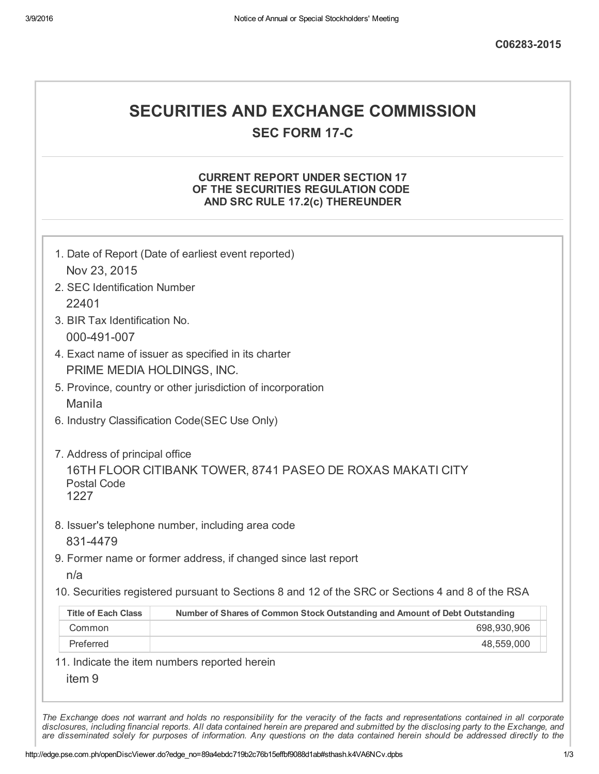## SECURITIES AND EXCHANGE COMMISSION **SEC FORM 17-C**

## CURRENT REPORT UNDER SECTION 17 OF THE SECURITIES REGULATION CODE AND SRC RULE 17.2(c) THEREUNDER

| Nov 23, 2015                  |                                                                                                   |
|-------------------------------|---------------------------------------------------------------------------------------------------|
| 2. SEC Identification Number  |                                                                                                   |
| 22401                         |                                                                                                   |
| 3. BIR Tax Identification No. |                                                                                                   |
| 000-491-007                   |                                                                                                   |
|                               | 4. Exact name of issuer as specified in its charter                                               |
| PRIME MEDIA HOLDINGS, INC.    |                                                                                                   |
|                               | 5. Province, country or other jurisdiction of incorporation                                       |
| <b>Manila</b>                 |                                                                                                   |
|                               | 6. Industry Classification Code(SEC Use Only)                                                     |
|                               |                                                                                                   |
| 1227<br>831-4479              | 8. Issuer's telephone number, including area code                                                 |
|                               |                                                                                                   |
| n/a                           | 9. Former name or former address, if changed since last report                                    |
|                               | 10. Securities registered pursuant to Sections 8 and 12 of the SRC or Sections 4 and 8 of the RSA |
| <b>Title of Each Class</b>    | Number of Shares of Common Stock Outstanding and Amount of Debt Outstanding                       |
| Common                        | 698,930,906                                                                                       |
| Preferred                     | 48,559,000                                                                                        |
| item <sub>9</sub>             | 11. Indicate the item numbers reported herein                                                     |

are disseminated solely for purposes of information. Any questions on the data contained herein should be addressed directly to the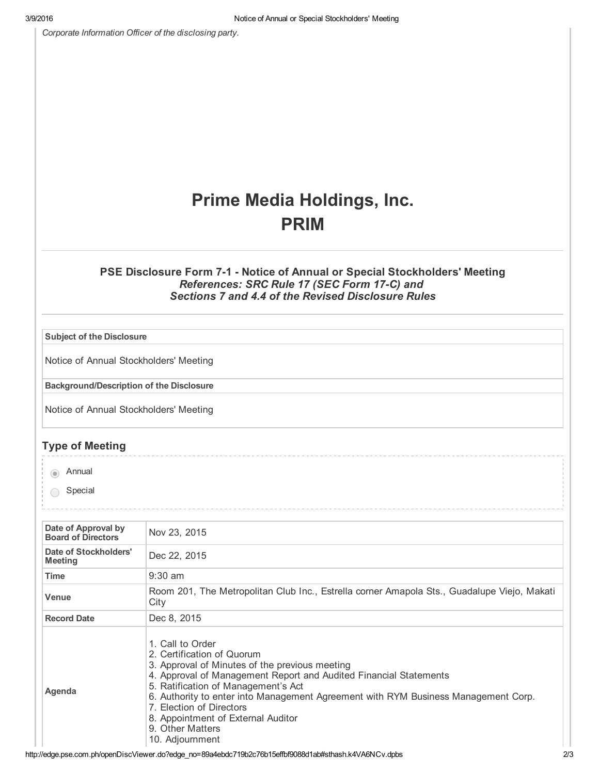*Corporate Information Officer of the disclosing party.*

## Prime Media Holdings, Inc. PRIM

## PSE Disclosure Form 7-1 - Notice of Annual or Special Stockholders' Meeting *References: SRC Rule 17 (SEC Form 17C) and Sections 7 and 4.4 of the Revised Disclosure Rules*

| <b>Subject of the Disclosure</b>                 |                                                                                                                                                                                                                                                                                                                                                                                                             |
|--------------------------------------------------|-------------------------------------------------------------------------------------------------------------------------------------------------------------------------------------------------------------------------------------------------------------------------------------------------------------------------------------------------------------------------------------------------------------|
| Notice of Annual Stockholders' Meeting           |                                                                                                                                                                                                                                                                                                                                                                                                             |
| <b>Background/Description of the Disclosure</b>  |                                                                                                                                                                                                                                                                                                                                                                                                             |
| Notice of Annual Stockholders' Meeting           |                                                                                                                                                                                                                                                                                                                                                                                                             |
| <b>Type of Meeting</b>                           |                                                                                                                                                                                                                                                                                                                                                                                                             |
| Annual<br>$\circ$                                |                                                                                                                                                                                                                                                                                                                                                                                                             |
| Special                                          |                                                                                                                                                                                                                                                                                                                                                                                                             |
|                                                  |                                                                                                                                                                                                                                                                                                                                                                                                             |
| Date of Approval by<br><b>Board of Directors</b> | Nov 23, 2015                                                                                                                                                                                                                                                                                                                                                                                                |
| Date of Stockholders'<br><b>Meeting</b>          | Dec 22, 2015                                                                                                                                                                                                                                                                                                                                                                                                |
| <b>Time</b>                                      | $9:30$ am                                                                                                                                                                                                                                                                                                                                                                                                   |
| Venue                                            | Room 201, The Metropolitan Club Inc., Estrella corner Amapola Sts., Guadalupe Viejo, Makati<br>City                                                                                                                                                                                                                                                                                                         |
| <b>Record Date</b>                               | Dec 8, 2015                                                                                                                                                                                                                                                                                                                                                                                                 |
| Agenda                                           | 1. Call to Order<br>2. Certification of Quorum<br>3. Approval of Minutes of the previous meeting<br>4. Approval of Management Report and Audited Financial Statements<br>5. Ratification of Management's Act<br>6. Authority to enter into Management Agreement with RYM Business Management Corp.<br>7. Election of Directors<br>8. Appointment of External Auditor<br>9. Other Matters<br>10. Adjournment |